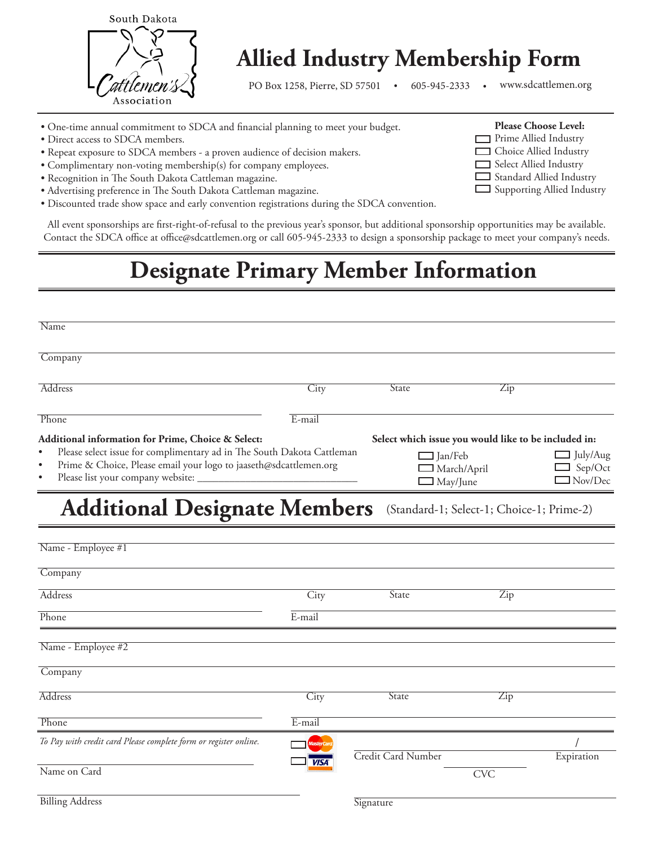

# **Allied Industry Membership Form**

PO Box 1258, Pierre, SD 57501 . 605-945-2333 . www.sdcattlemen.org

С

**Please Choose Level: Prime Allied Industry** Choice Allied Industry Select Allied Industry Standard Allied Industry Supporting Allied Industry

- One-time annual commitment to SDCA and financial planning to meet your budget.
- Direct access to SDCA members.
- Repeat exposure to SDCA members a proven audience of decision makers.
- Complimentary non-voting membership(s) for company employees.
- Recognition in The South Dakota Cattleman magazine.
- Advertising preference in The South Dakota Cattleman magazine.
- Discounted trade show space and early convention registrations during the SDCA convention.

All event sponsorships are first-right-of-refusal to the previous year's sponsor, but additional sponsorship opportunities may be available. Contact the SDCA office at office@sdcattlemen.org or call 605-945-2333 to design a sponsorship package to meet your company's needs.

## **Designate Primary Member Information**

| Name                                                                                                                                                                                                                                                               |                   |                                           |                                                                                                                                |            |
|--------------------------------------------------------------------------------------------------------------------------------------------------------------------------------------------------------------------------------------------------------------------|-------------------|-------------------------------------------|--------------------------------------------------------------------------------------------------------------------------------|------------|
| Company                                                                                                                                                                                                                                                            |                   |                                           |                                                                                                                                |            |
| Address                                                                                                                                                                                                                                                            | City              | <b>State</b>                              | Zip                                                                                                                            |            |
| Phone                                                                                                                                                                                                                                                              | E-mail            |                                           |                                                                                                                                |            |
| Additional information for Prime, Choice & Select:<br>Please select issue for complimentary ad in The South Dakota Cattleman<br>$\bullet$<br>Prime & Choice, Please email your logo to jaaseth@sdcattlemen.org<br>$\bullet$<br>Please list your company website: _ |                   |                                           | Select which issue you would like to be included in:<br>$\Box$ Jan/Feb<br>$\Box$ March/April<br>$\mathsf{J}_{\text{May/June}}$ |            |
| <b>Additional Designate Members</b>                                                                                                                                                                                                                                |                   | (Standard-1; Select-1; Choice-1; Prime-2) |                                                                                                                                |            |
| Name - Employee #1                                                                                                                                                                                                                                                 |                   |                                           |                                                                                                                                |            |
| Company                                                                                                                                                                                                                                                            |                   |                                           |                                                                                                                                |            |
| Address                                                                                                                                                                                                                                                            | City              | State                                     | $\overline{Zip}$                                                                                                               |            |
| Phone                                                                                                                                                                                                                                                              | E-mail            |                                           |                                                                                                                                |            |
| Name - Employee #2                                                                                                                                                                                                                                                 |                   |                                           |                                                                                                                                |            |
| Company                                                                                                                                                                                                                                                            |                   |                                           |                                                                                                                                |            |
| <b>Address</b>                                                                                                                                                                                                                                                     | City              | State                                     | Zip                                                                                                                            |            |
| Phone                                                                                                                                                                                                                                                              | E-mail            |                                           |                                                                                                                                |            |
| To Pay with credit card Please complete form or register online.                                                                                                                                                                                                   | <b>MasterCard</b> | Credit Card Number                        |                                                                                                                                | Expiration |
| Name on Card                                                                                                                                                                                                                                                       | <b>VISA</b>       |                                           | <b>CVC</b>                                                                                                                     |            |
| <b>Billing Address</b>                                                                                                                                                                                                                                             |                   | Signature                                 |                                                                                                                                |            |